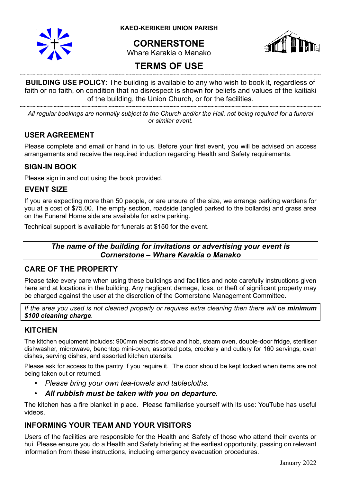

**KAEO-KERIKERI UNION PARISH**

# **CORNERSTONE**



Whare Karakia o Manako

# **TERMS OF USE**

**BUILDING USE POLICY**: The building is available to any who wish to book it, regardless of faith or no faith, on condition that no disrespect is shown for beliefs and values of the kaitiaki of the building, the Union Church, or for the facilities.

*All regular bookings are normally subject to the Church and/or the Hall, not being required for a funeral or similar event.*

# **USER AGREEMENT**

Please complete and email or hand in to us. Before your first event, you will be advised on access arrangements and receive the required induction regarding Health and Safety requirements.

### **SIGN-IN BOOK**

Please sign in and out using the book provided.

# **EVENT SIZE**

If you are expecting more than 50 people, or are unsure of the size, we arrange parking wardens for you at a cost of \$75.00. The empty section, roadside (angled parked to the bollards) and grass area on the Funeral Home side are available for extra parking.

Technical support is available for funerals at \$150 for the event.

# *The name of the building for invitations or advertising your event is Cornerstone – Whare Karakia o Manako*

# **CARE OF THE PROPERTY**

Please take every care when using these buildings and facilities and note carefully instructions given here and at locations in the building. Any negligent damage, loss, or theft of significant property may be charged against the user at the discretion of the Cornerstone Management Committee.

*If the area you used is not cleaned properly or requires extra cleaning then there will be minimum \$100 cleaning charge.*

# **KITCHEN**

The kitchen equipment includes: 900mm electric stove and hob, steam oven, double-door fridge, steriliser dishwasher, microwave, benchtop mini-oven, assorted pots, crockery and cutlery for 160 servings, oven dishes, serving dishes, and assorted kitchen utensils.

Please ask for access to the pantry if you require it. The door should be kept locked when items are not being taken out or returned.

- *Please bring your own tea-towels and tablecloths.*
- *All rubbish must be taken with you on departure.*

The kitchen has a fire blanket in place. Please familiarise yourself with its use: YouTube has useful videos.

# **INFORMING YOUR TEAM AND YOUR VISITORS**

Users of the facilities are responsible for the Health and Safety of those who attend their events or hui. Please ensure you do a Health and Safety briefing at the earliest opportunity, passing on relevant information from these instructions, including emergency evacuation procedures.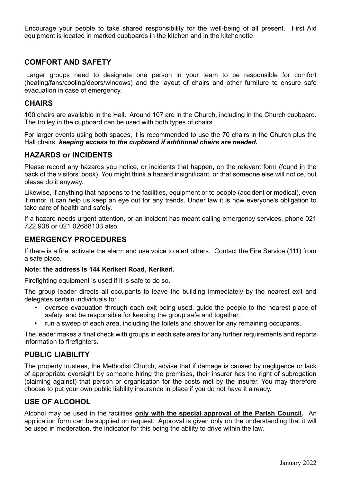Encourage your people to take shared responsibility for the well-being of all present. First Aid equipment is located in marked cupboards in the kitchen and in the kitchenette.

## **COMFORT AND SAFETY**

Larger groups need to designate one person in your team to be responsible for comfort (heating/fans/cooling/doors/windows) and the layout of chairs and other furniture to ensure safe evacuation in case of emergency.

#### **CHAIRS**

100 chairs are available in the Hall. Around 107 are in the Church, including in the Church cupboard. The trolley in the cupboard can be used with both types of chairs.

For larger events using both spaces, it is recommended to use the 70 chairs in the Church plus the Hall chairs, *keeping access to the cupboard if additional chairs are needed.*

### **HAZARDS or INCIDENTS**

Please record any hazards you notice, or incidents that happen, on the relevant form (found in the back of the visitors' book). You might think a hazard insignificant, or that someone else will notice, but please do it anyway.

Likewise, if anything that happens to the facilities, equipment or to people (accident or medical), even if minor, it can help us keep an eye out for any trends. Under law it is now everyone's obligation to take care of health and safety.

If a hazard needs urgent attention, or an incident has meant calling emergency services, phone 021 722 938 or 021 02688103 also.

#### **EMERGENCY PROCEDURES**

If there is a fire, activate the alarm and use voice to alert others. Contact the Fire Service (111) from a safe place.

#### **Note: the address is 144 Kerikeri Road, Kerikeri.**

Firefighting equipment is used if it is safe to do so.

The group leader directs all occupants to leave the building immediately by the nearest exit and delegates certain individuals to:

- oversee evacuation through each exit being used, guide the people to the nearest place of safety, and be responsible for keeping the group safe and together.
- run a sweep of each area, including the toilets and shower for any remaining occupants.

The leader makes a final check with groups in each safe area for any further requirements and reports information to firefighters.

#### **PUBLIC LIABILITY**

The property trustees, the Methodist Church, advise that if damage is caused by negligence or lack of appropriate oversight by someone hiring the premises, their insurer has the right of subrogation (claiming against) that person or organisation for the costs met by the insurer. You may therefore choose to put your own public liability insurance in place if you do not have it already.

# **USE OF ALCOHOL**

Alcohol may be used in the facilities **only with the special approval of the Parish Council.** An application form can be supplied on request. Approval is given only on the understanding that it will be used in moderation, the indicator for this being the ability to drive within the law.